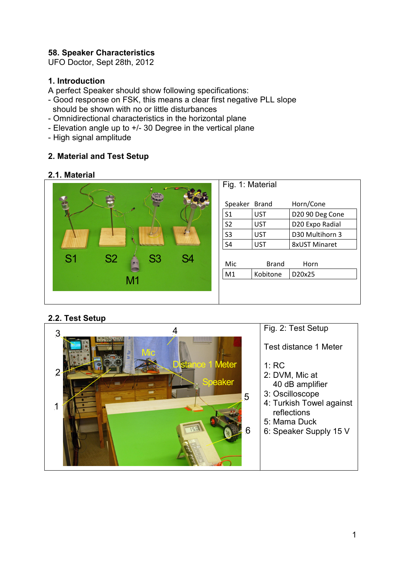### **58. Speaker Characteristics**

UFO Doctor, Sept 28th, 2012

#### **1. Introduction**

A perfect Speaker should show following specifications:

- Good response on FSK, this means a clear first negative PLL slope should be shown with no or little disturbances
- Omnidirectional characteristics in the horizontal plane
- Elevation angle up to +/- 30 Degree in the vertical plane
- High signal amplitude

### **2. Material and Test Setup**

#### **2.1. Material**



### **2.2. Test Setup**

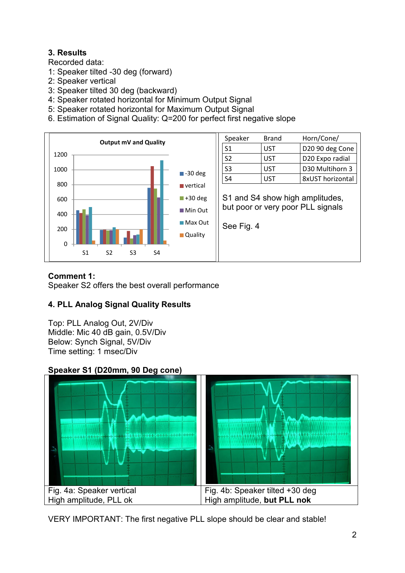# **3. Results**

Recorded data:

- 1: Speaker tilted -30 deg (forward)
- 2: Speaker vertical
- 3: Speaker tilted 30 deg (backward)
- 4: Speaker rotated horizontal for Minimum Output Signal
- 5: Speaker rotated horizontal for Maximum Output Signal
- 6. Estimation of Signal Quality: Q=200 for perfect first negative slope



#### **Comment 1:**

Speaker S2 offers the best overall performance

# **4. PLL Analog Signal Quality Results**

Top: PLL Analog Out, 2V/Div Middle: Mic 40 dB gain, 0.5V/Div Below: Synch Signal, 5V/Div Time setting: 1 msec/Div

### **Speaker S1 (D20mm, 90 Deg cone)**



VERY IMPORTANT: The first negative PLL slope should be clear and stable!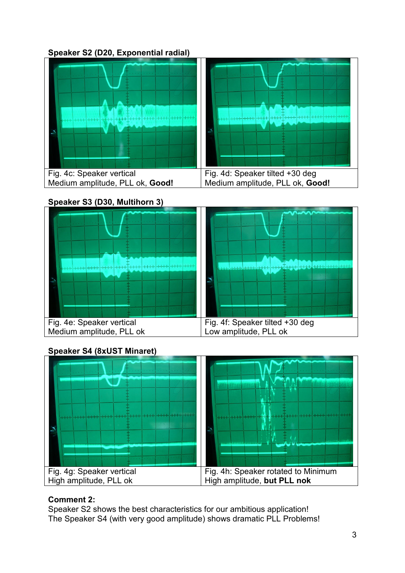**Speaker S2 (D20, Exponential radial)** 



### **Speaker S3 (D30, Multihorn 3)**



# **Speaker S4 (8xUST Minaret)**



# **Comment 2:**

Speaker S2 shows the best characteristics for our ambitious application! The Speaker S4 (with very good amplitude) shows dramatic PLL Problems!